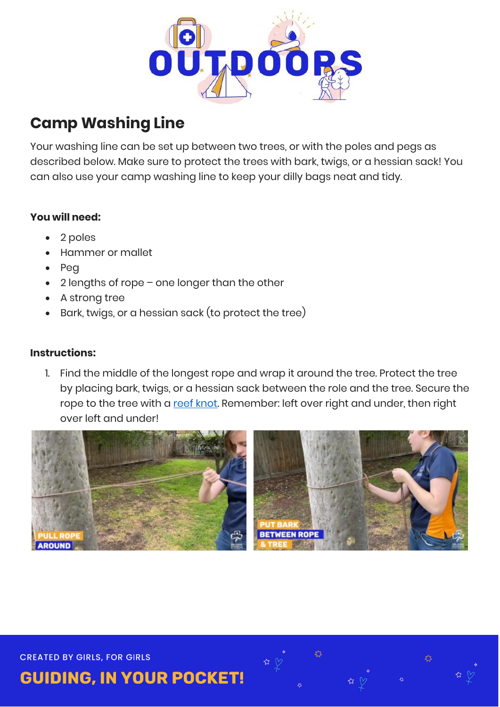

## **Camp Washing Line**

Your washing line can be set up between two trees, or with the poles and pegs as described below. Make sure to protect the trees with bark, twigs, or a hessian sack! You can also use your camp washing line to keep your dilly bags neat and tidy.

## **You will need:**

- 2 poles
- Hammer or mallet
- $\bullet$  Peg
- 2 lengths of rope one longer than the other
- A strong tree
- Bark, twigs, or a hessian sack (to protect the tree)

## **Instructions:**

1. Find the middle of the longest rope and wrap it around the tree. Protect the tree by placing bark, twigs, or a hessian sack between the role and the tree. Secure the rope to the tree with a [reef knot.](https://www.animatedknots.com/square-knot) Remember: left over right and under, then right over left and under!



**CREATED BY GIRLS, FOR GIRLS** 

**GUIDING, IN YOUR POCKET!**